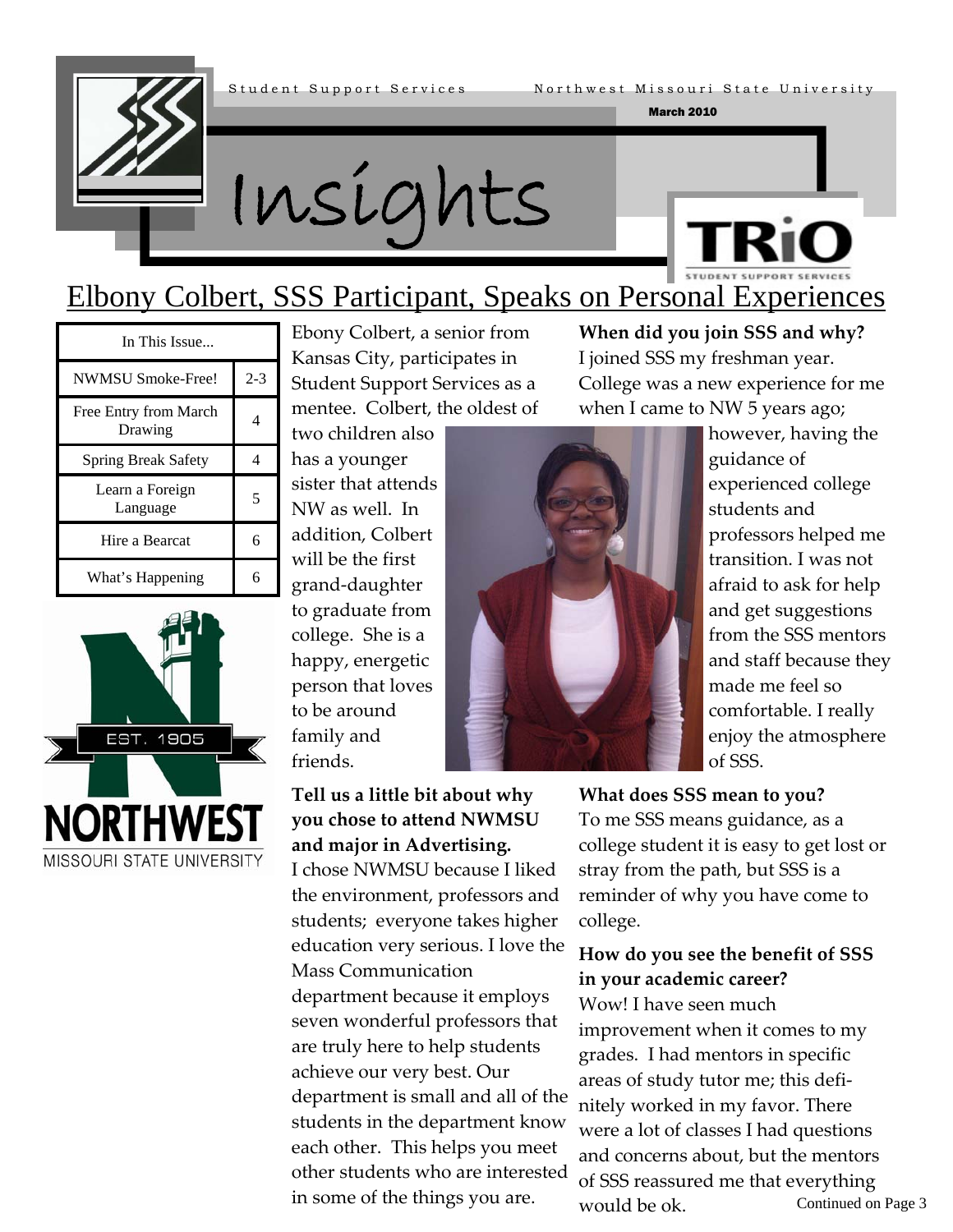

March 2010

Insights



### Elbony Colbert, SSS Participant, Speaks on Personal Experiences

| In This Issue                    |     |  |
|----------------------------------|-----|--|
| <b>NWMSU Smoke-Free!</b>         | 2-3 |  |
| Free Entry from March<br>Drawing |     |  |
| <b>Spring Break Safety</b>       |     |  |
| Learn a Foreign<br>Language      | 5   |  |
| Hire a Bearcat                   | б   |  |
| What's Happening                 |     |  |



Ebony Colbert, a senior from Kansas City, participates in Student Support Services as a mentee. Colbert, the oldest of

two children also has a younger sister that attends NW as well. In addition, Colbert will be the first grand‐daughter to graduate from college. She is a happy, energetic person that loves to be around family and friends.

**Tell us a little bit about why you chose to attend NWMSU and major in Advertising.**

I chose NWMSU because I liked the environment, professors and students; everyone takes higher education very serious. I love the

department because it employs seven wonderful professors that are truly here to help students achieve our very best. Our

department is small and all of the students in the department know each other. This helps you meet other students who are interested

in some of the things you are.

Mass Communication



**When did you join SSS and why?**  I joined SSS my freshman year. College was a new experience for me when I came to NW 5 years ago;

however, having the guidance of experienced college students and professors helped me transition. I was not afraid to ask for help and get suggestions from the SSS mentors and staff because they made me feel so comfortable. I really enjoy the atmosphere of SSS.

**What does SSS mean to you?** 

To me SSS means guidance, as a college student it is easy to get lost or stray from the path, but SSS is a reminder of why you have come to college.

### **How do you see the benefit of SSS in your academic career?**

Continued on Page 3 Wow! I have seen much improvement when it comes to my grades. I had mentors in specific areas of study tutor me; this defi‐ nitely worked in my favor. There were a lot of classes I had questions and concerns about, but the mentors of SSS reassured me that everything would be ok.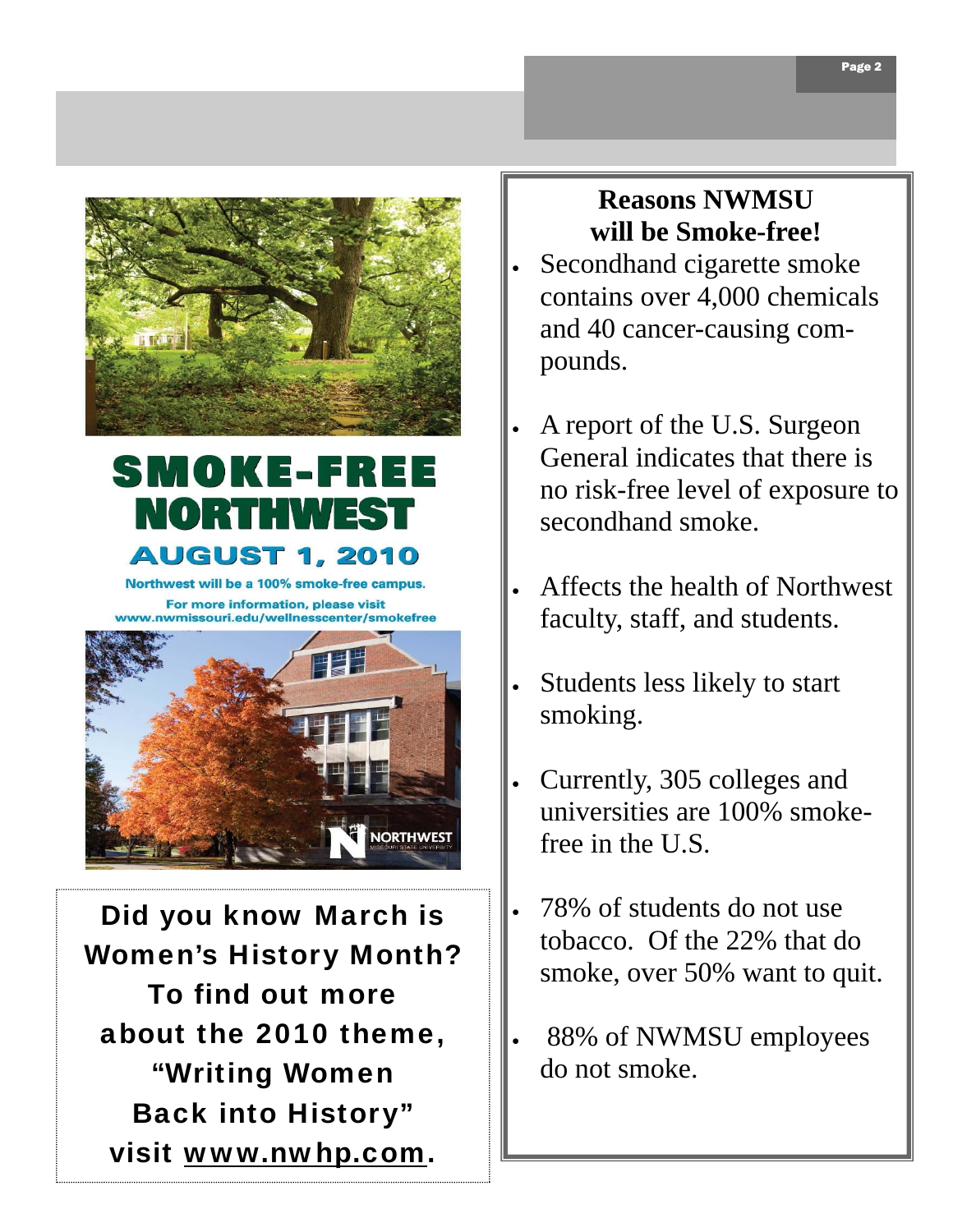

## **SMOKE-FREE** RIO BITHV **AUGUST 1, 2010**

Northwest will be a 100% smoke-free campus. For more information, please visit www.nwmissouri.edu/wellnesscenter/smokefree



Did you know March is Women's History Month? To find out more about the 2010 theme, "Writing Women Back into History" visit www.nwhp.com.

### **Reasons NWMSU will be Smoke-free!**

- Secondhand cigarette smoke contains over 4,000 chemicals and 40 cancer-causing compounds.
- A report of the U.S. Surgeon General indicates that there is no risk-free level of exposure to secondhand smoke.
- Affects the health of Northwest faculty, staff, and students.
- Students less likely to start smoking.
- Currently, 305 colleges and universities are 100% smokefree in the U.S.
- 78% of students do not use tobacco. Of the 22% that do smoke, over 50% want to quit.
- 88% of NWMSU employees do not smoke.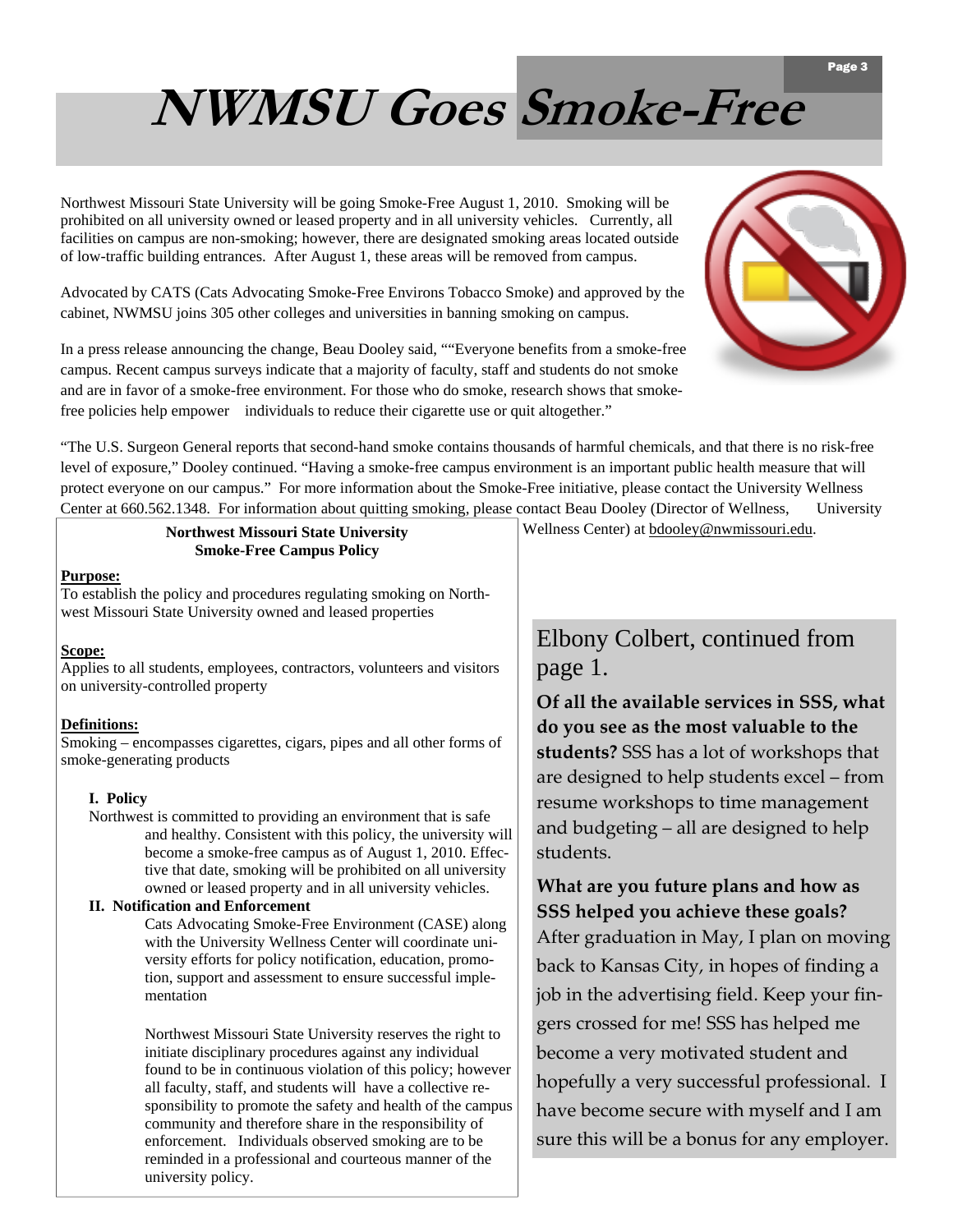# **NWMSU Goes Smoke-Free**

Northwest Missouri State University will be going Smoke-Free August 1, 2010. Smoking will be prohibited on all university owned or leased property and in all university vehicles. Currently, all facilities on campus are non-smoking; however, there are designated smoking areas located outside of low-traffic building entrances. After August 1, these areas will be removed from campus.

Advocated by CATS (Cats Advocating Smoke-Free Environs Tobacco Smoke) and approved by the cabinet, NWMSU joins 305 other colleges and universities in banning smoking on campus.

In a press release announcing the change, Beau Dooley said, ""Everyone benefits from a smoke-free campus. Recent campus surveys indicate that a majority of faculty, staff and students do not smoke and are in favor of a smoke-free environment. For those who do smoke, research shows that smokefree policies help empower individuals to reduce their cigarette use or quit altogether."



"The U.S. Surgeon General reports that second-hand smoke contains thousands of harmful chemicals, and that there is no risk-free level of exposure," Dooley continued. "Having a smoke-free campus environment is an important public health measure that will protect everyone on our campus." For more information about the Smoke-Free initiative, please contact the University Wellness Center at 660.562.1348. For information about quitting smoking, please contact Beau Dooley (Director of Wellness, University

#### Northwest Missouri State University **Wellness Center)** at [bdooley@nwmissouri.edu](mailto:bdooley@nwmissouri.edu). **Smoke-Free Campus Policy**

**Purpose:** 

To establish the policy and procedures regulating smoking on Northwest Missouri State University owned and leased properties

#### **Scope:**

Applies to all students, employees, contractors, volunteers and visitors on university-controlled property

#### **Definitions:**

Smoking – encompasses cigarettes, cigars, pipes and all other forms of smoke-generating products

#### **I. Policy**

Northwest is committed to providing an environment that is safe and healthy. Consistent with this policy, the university will become a smoke-free campus as of August 1, 2010. Effective that date, smoking will be prohibited on all university owned or leased property and in all university vehicles.

#### **II. Notification and Enforcement**

Cats Advocating Smoke-Free Environment (CASE) along with the University Wellness Center will coordinate university efforts for policy notification, education, promotion, support and assessment to ensure successful implementation

Northwest Missouri State University reserves the right to initiate disciplinary procedures against any individual found to be in continuous violation of this policy; however all faculty, staff, and students will have a collective responsibility to promote the safety and health of the campus community and therefore share in the responsibility of enforcement. Individuals observed smoking are to be reminded in a professional and courteous manner of the university policy.

### Elbony Colbert, continued from page 1.

**Of all the available services in SSS, what do you see as the most valuable to the students?** SSS has a lot of workshops that are designed to help students excel – from resume workshops to time management and budgeting – all are designed to help students.

**What are you future plans and how as SSS helped you achieve these goals?**  After graduation in May, I plan on moving back to Kansas City, in hopes of finding a job in the advertising field. Keep your fin‐ gers crossed for me! SSS has helped me become a very motivated student and hopefully a very successful professional. I have become secure with myself and I am sure this will be a bonus for any employer.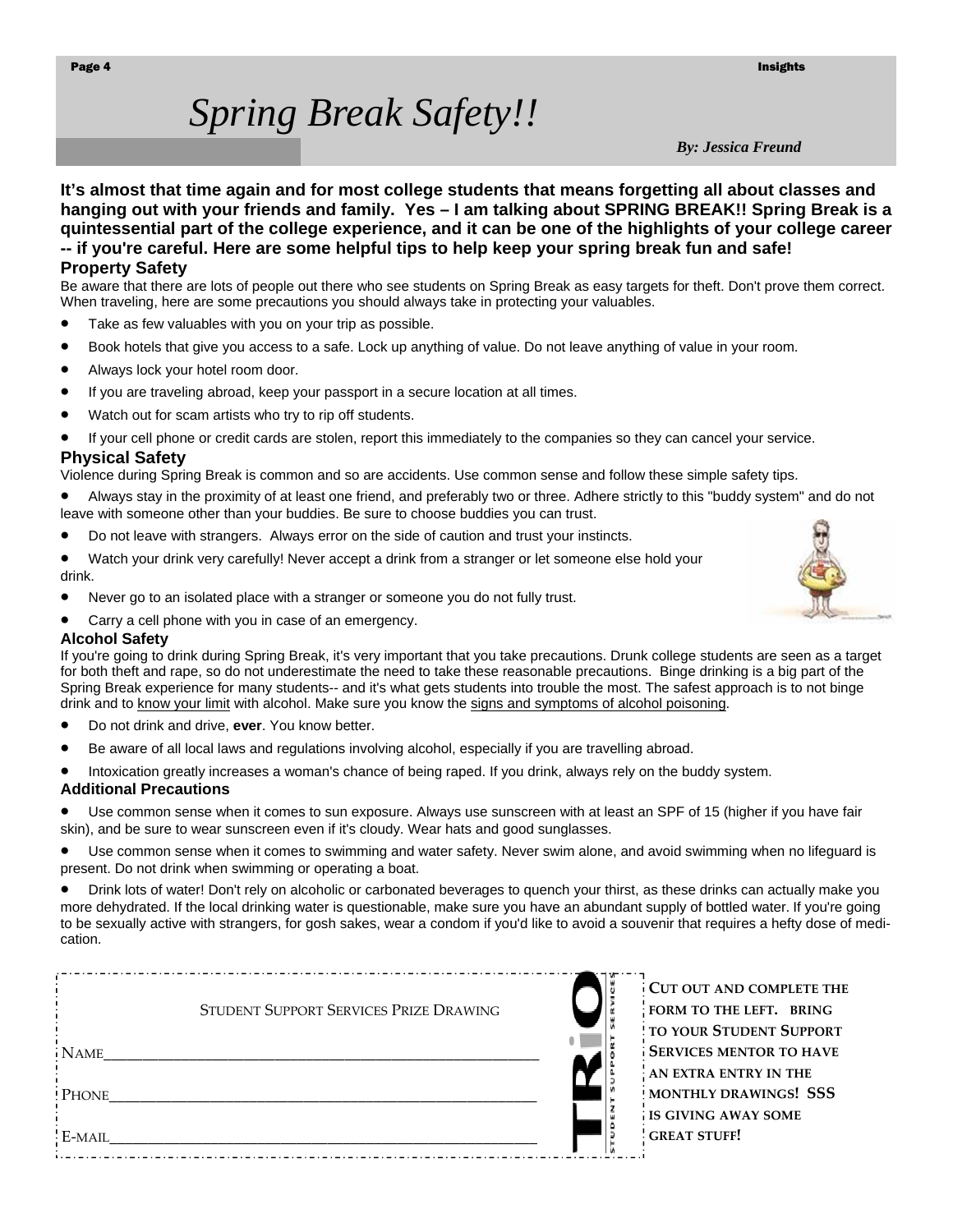#### Page 4 **Insights** and the control of the control of the control of the control of the control of the control of the control of the control of the control of the control of the control of the control of the control of the c

## *Spring Break Safety!!*

*By: Jessica Freund* 

**It's almost that time again and for most college students that means forgetting all about classes and hanging out with your friends and family. Yes – I am talking about SPRING BREAK!! Spring Break is a quintessential part of the college experience, and it can be one of the highlights of your college career -- if you're careful. Here are some helpful tips to help keep your spring break fun and safe! Property Safety**

Be aware that there are lots of people out there who see students on Spring Break as easy targets for theft. Don't prove them correct. When traveling, here are some precautions you should always take in protecting your valuables.

- Take as few valuables with you on your trip as possible.
- Book hotels that give you access to a safe. Lock up anything of value. Do not leave anything of value in your room.
- Always lock your hotel room door.
- If you are traveling abroad, keep your passport in a secure location at all times.
- Watch out for scam artists who try to rip off students.
- If your cell phone or credit cards are stolen, report this immediately to the companies so they can cancel your service.

#### **Physical Safety**

Violence during Spring Break is common and so are accidents. Use common sense and follow these simple safety tips.

- Always stay in the proximity of at least one friend, and preferably two or three. Adhere strictly to this "buddy system" and do not leave with someone other than your buddies. Be sure to choose buddies you can trust.
- Do not leave with strangers. Always error on the side of caution and trust your instincts.
- Watch your drink very carefully! Never accept a drink from a stranger or let someone else hold your drink.
- Never go to an isolated place with a stranger or someone you do not fully trust.
- Carry a cell phone with you in case of an emergency.

#### **Alcohol Safety**

If you're going to drink during Spring Break, it's very important that you take precautions. Drunk college students are seen as a target for both theft and rape, so do not underestimate the need to take these reasonable precautions. Binge drinking is a big part of the Spring Break experience for many students-- and it's what gets students into trouble the most. The safest approach is to not binge drink and to [know your limit](http://collegeuniversity.suite101.com/article.cfm/knowing_your_limit) with alcohol. Make sure you know the [signs and symptoms of alcohol poisoning](http://www.mayoclinic.com/health/alcohol-poisoning/DS00861/DSECTION=2).

- Do not drink and drive, **ever**. You know better.
- Be aware of all local laws and regulations involving alcohol, especially if you are travelling abroad.
- Intoxication greatly increases a woman's chance of being raped. If you drink, always rely on the buddy system.

#### **Additional Precautions**

• Use common sense when it comes to sun exposure. Always use sunscreen with at least an SPF of 15 (higher if you have fair skin), and be sure to wear sunscreen even if it's cloudy. Wear hats and good sunglasses.

• Use common sense when it comes to swimming and water safety. Never swim alone, and avoid swimming when no lifeguard is present. Do not drink when swimming or operating a boat.

• Drink lots of water! Don't rely on alcoholic or carbonated beverages to quench your thirst, as these drinks can actually make you more dehydrated. If the local drinking water is questionable, make sure you have an abundant supply of bottled water. If you're going to be sexually active with strangers, for gosh sakes, wear a condom if you'd like to avoid a souvenir that requires a hefty dose of medication.

|              |                                        | CUT OUT AND COMPLETE TH          |
|--------------|----------------------------------------|----------------------------------|
|              | STUDENT SUPPORT SERVICES PRIZE DRAWING | FORM TO THE LEFT. BRING          |
|              |                                        | <b>! TO YOUR STUDENT SUPPORT</b> |
| <b>NAME</b>  |                                        | <b>SERVICES MENTOR TO HAVE</b>   |
|              |                                        | AN EXTRA ENTRY IN THE            |
| <b>PHONE</b> |                                        | MONTHLY DRAWINGS! SSS            |
|              |                                        | <b>IS GIVING AWAY SOME</b>       |
| E-MAIL       |                                        | <b>GREAT STUFF!</b>              |
|              |                                        |                                  |

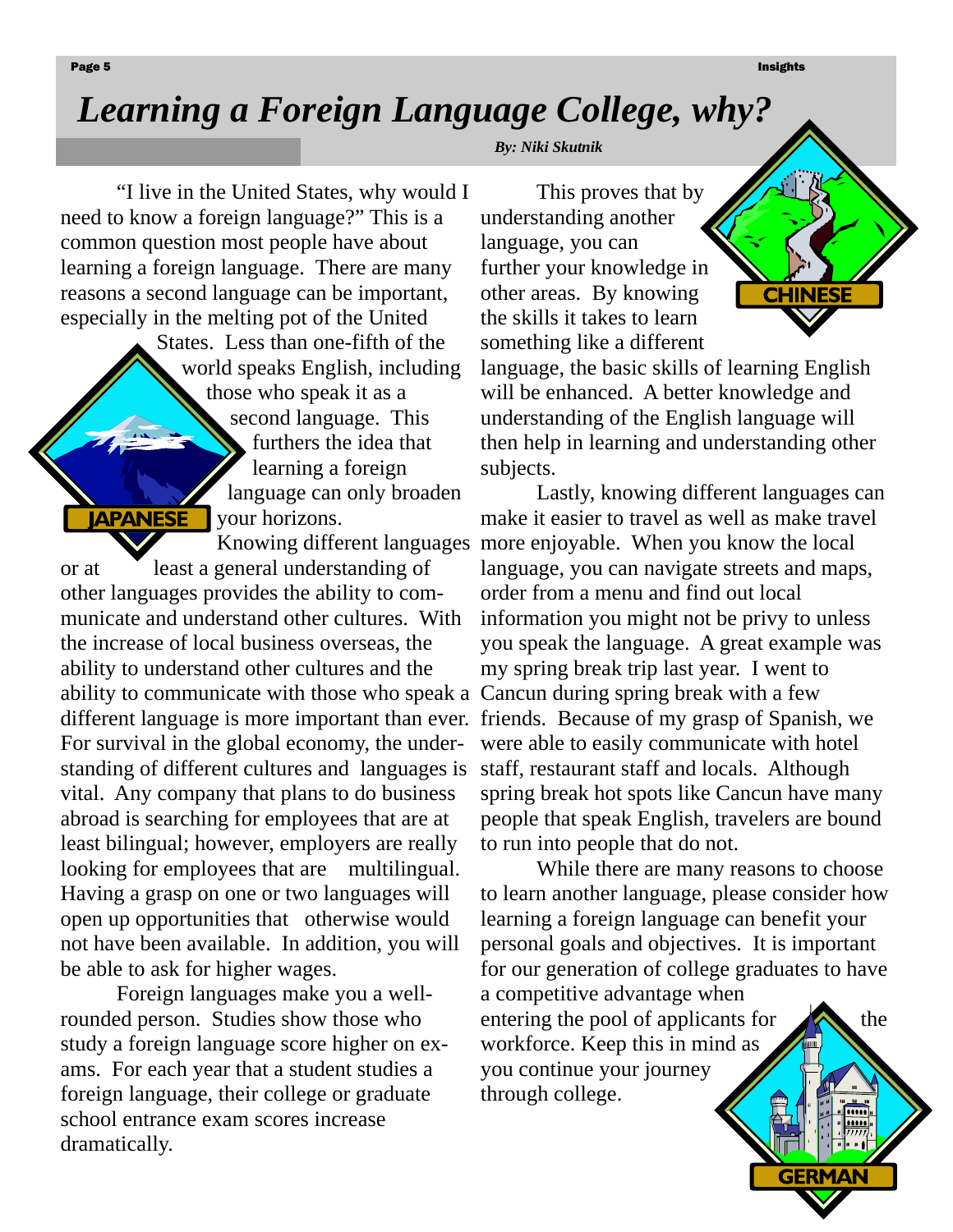Page 5 Insights and the control of the control of the control of the control of the control of the control of the control of the control of the control of the control of the control of the control of the control of the con

**CHINESE** 

## *Learning a Foreign Language College, why?*

"I live in the United States, why would I need to know a foreign language?" This is a common question most people have about learning a foreign language. There are many reasons a second language can be important, especially in the melting pot of the United

States. Less than one-fifth of the world speaks English, including those who speak it as a second language. This furthers the idea that learning a foreign language can only broaden **JAPANESE** your horizons.

or at least a general understanding of other languages provides the ability to communicate and understand other cultures. With the increase of local business overseas, the ability to understand other cultures and the ability to communicate with those who speak a Cancun during spring break with a few different language is more important than ever. friends. Because of my grasp of Spanish, we For survival in the global economy, the understanding of different cultures and languages is vital. Any company that plans to do business abroad is searching for employees that are at least bilingual; however, employers are really looking for employees that are multilingual. Having a grasp on one or two languages will open up opportunities that otherwise would not have been available. In addition, you will be able to ask for higher wages.

 Foreign languages make you a wellrounded person. Studies show those who study a foreign language score higher on exams. For each year that a student studies a foreign language, their college or graduate school entrance exam scores increase dramatically.

*By: Niki Skutnik* 

This proves that by understanding another language, you can further your knowledge in other areas. By knowing the skills it takes to learn something like a different

language, the basic skills of learning English will be enhanced. A better knowledge and understanding of the English language will then help in learning and understanding other subjects.

Knowing different languages more enjoyable. When you know the local Lastly, knowing different languages can make it easier to travel as well as make travel language, you can navigate streets and maps, order from a menu and find out local information you might not be privy to unless you speak the language. A great example was my spring break trip last year. I went to were able to easily communicate with hotel staff, restaurant staff and locals. Although spring break hot spots like Cancun have many people that speak English, travelers are bound to run into people that do not.

> While there are many reasons to choose to learn another language, please consider how learning a foreign language can benefit your personal goals and objectives. It is important for our generation of college graduates to have a competitive advantage when entering the pool of applicants for  $\sim$  the workforce. Keep this in mind as you continue your journey through college.

> > **GERMAN**